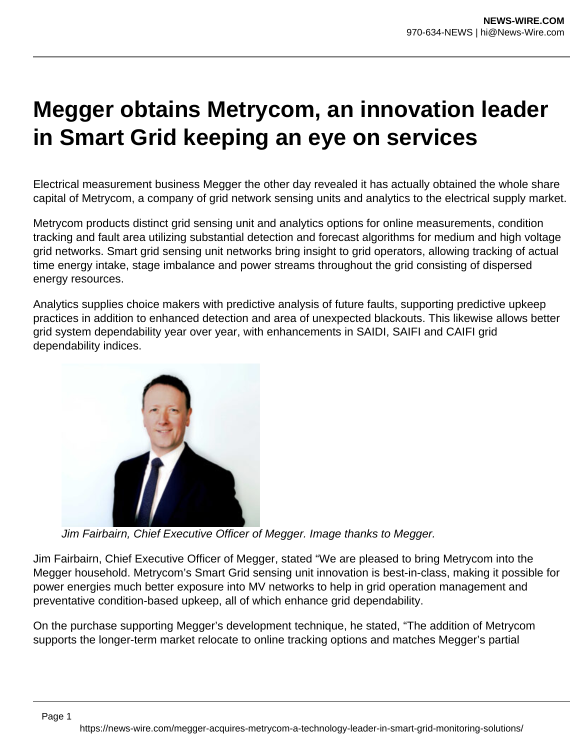## **Megger obtains Metrycom, an innovation leader in Smart Grid keeping an eye on services**

Electrical measurement business Megger the other day revealed it has actually obtained the whole share capital of Metrycom, a company of grid network sensing units and analytics to the electrical supply market.

Metrycom products distinct grid sensing unit and analytics options for online measurements, condition tracking and fault area utilizing substantial detection and forecast algorithms for medium and high voltage grid networks. Smart grid sensing unit networks bring insight to grid operators, allowing tracking of actual time energy intake, stage imbalance and power streams throughout the grid consisting of dispersed energy resources.

Analytics supplies choice makers with predictive analysis of future faults, supporting predictive upkeep practices in addition to enhanced detection and area of unexpected blackouts. This likewise allows better grid system dependability year over year, with enhancements in SAIDI, SAIFI and CAIFI grid dependability indices.



Page 1

Jim Fairbairn, Chief Executive Officer of Megger. Image thanks to Megger.

Jim Fairbairn, Chief Executive Officer of Megger, stated "We are pleased to bring Metrycom into the Megger household. Metrycom's Smart Grid sensing unit innovation is best-in-class, making it possible for power energies much better exposure into MV networks to help in grid operation management and preventative condition-based upkeep, all of which enhance grid dependability.

On the purchase supporting Megger's development technique, he stated, "The addition of Metrycom supports the longer-term market relocate to online tracking options and matches Megger's partial